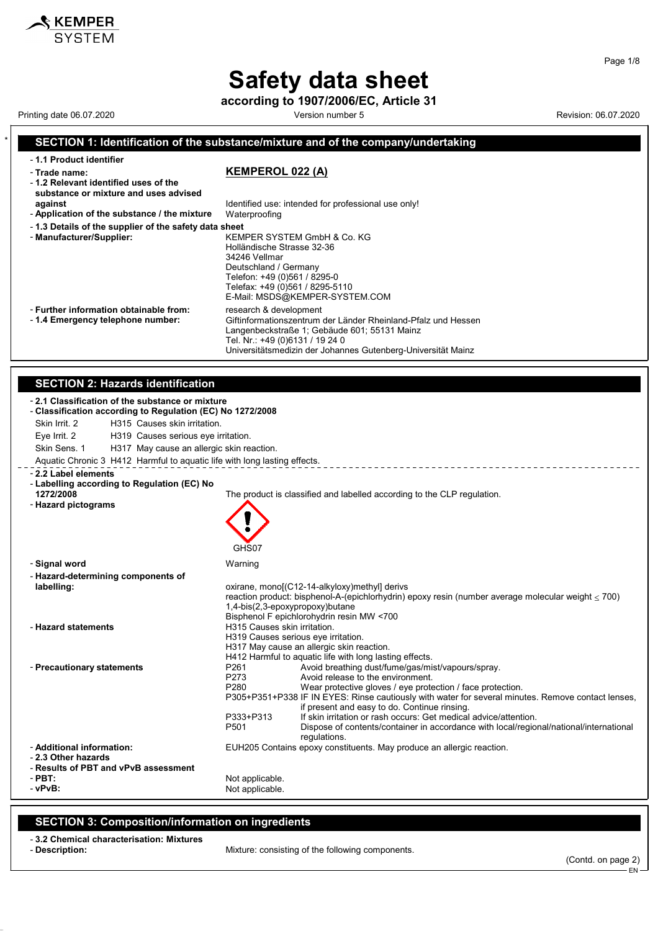**according to 1907/2006/EC, Article 31**

Printing date 06.07.2020 **Version number 5** Wersion number 5 Revision: 06.07.2020

 $\boldsymbol{\hat{x}}$  KEMPER

#### \* **SECTION 1: Identification of the substance/mixture and of the company/undertaking** - **1.1 Product identifier** - **Trade name: KEMPEROL 022 (A)** - **1.2 Relevant identified uses of the substance or mixture and uses advised against against Identified use: intended for professional use only!**<br>**Application of the substance / the mixture** Waterproofing - Application of the substance / the mixture - **1.3 Details of the supplier of the safety data sheet** - **Manufacturer/Supplier:** KEMPER SYSTEM GmbH & Co. KG Holländische Strasse 32-36 34246 Vellmar Deutschland / Germany Telefon: +49 (0)561 / 8295-0 Telefax: +49 (0)561 / 8295-5110 E-Mail: MSDS@KEMPER-SYSTEM.COM - **Further information obtainable from:** research & development<br>- 1.4 **Emergency telephone number:** Giftinformationszentrum Giftinformationszentrum der Länder Rheinland-Pfalz und Hessen Langenbeckstraße 1; Gebäude 601; 55131 Mainz Tel. Nr.: +49 (0)6131 / 19 24 0 Universitätsmedizin der Johannes Gutenberg-Universität Mainz **SECTION 2: Hazards identification** - **2.1 Classification of the substance or mixture** - **Classification according to Regulation (EC) No 1272/2008** Skin Irrit. 2 H315 Causes skin irritation. Eye Irrit. 2 H319 Causes serious eye irritation. Skin Sens. 1 H317 May cause an allergic skin reaction. Aquatic Chronic 3 H412 Harmful to aquatic life with long lasting effects. \_\_\_\_\_\_\_\_\_\_\_\_\_\_\_\_\_\_\_\_\_\_ - **2.2 Label elements** - **Labelling according to Regulation (EC) No 1272/2008** The product is classified and labelled according to the CLP regulation. - **Hazard pictograms** GHS07 - **Signal word** Warning - **Hazard-determining components of** oxirane, mono[(C12-14-alkyloxy)methyl] derivs reaction product: bisphenol-A-(epichlorhydrin) epoxy resin (number average molecular weight  $\leq$  700) 1,4-bis(2,3-epoxypropoxy)butane Bisphenol F epichlorohydrin resin MW <700 - **Hazard statements H315 Causes skin irritation.** H319 Causes serious eye irritation. H317 May cause an allergic skin reaction. H412 Harmful to aquatic life with long lasting effects. - **Precautionary statements** P261 Avoid breathing dust/fume/gas/mist/vapours/spray. Avoid release to the environment. P280 Wear protective gloves / eye protection / face protection. P305+P351+P338 IF IN EYES: Rinse cautiously with water for several minutes. Remove contact lenses, if present and easy to do. Continue rinsing. P333+P313 If skin irritation or rash occurs: Get medical advice/attention.<br>P501 Dispose of contents/container in accordance with local/region Dispose of contents/container in accordance with local/regional/national/international regulations. - **Additional information:** EUH205 Contains epoxy constituents. May produce an allergic reaction. - **2.3 Other hazards** - **Results of PBT and vPvB assessment** - **PBT:**<br>
- vPvR:<br>
- vPvR: Not applicable.

### **SECTION 3: Composition/information on ingredients**

- **3.2 Chemical characterisation: Mixtures**

Mixture: consisting of the following components.

(Contd. on page 2)

EN

Page 1/8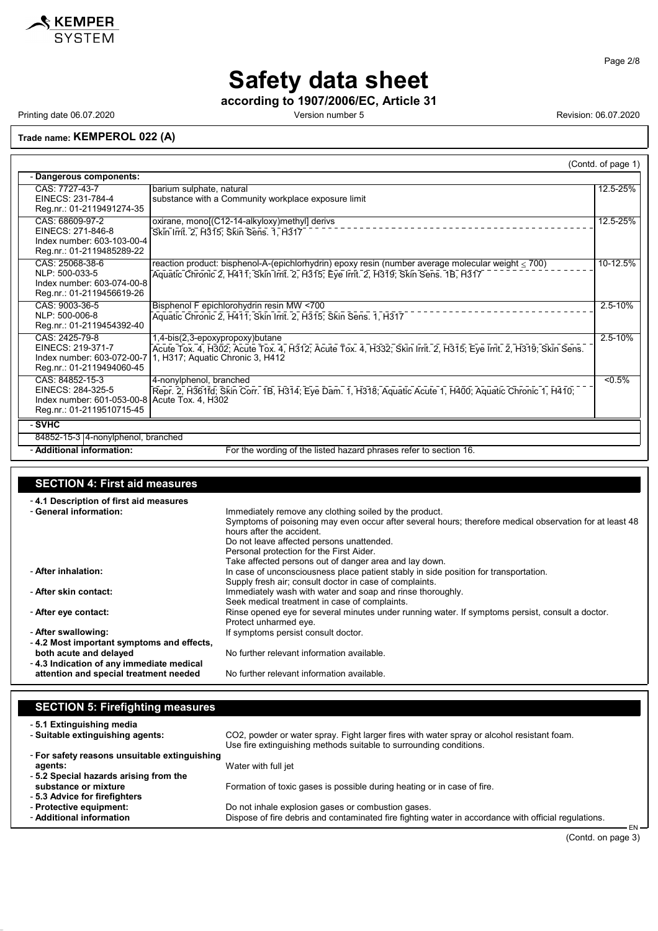

**according to 1907/2006/EC, Article 31**

Printing date 06.07.2020 **Printing date 06.07.2020** Version number 5 Revision: 06.07.2020

### **Trade name: KEMPEROL 022 (A)**

|                                                                                                                    |                                                                                                                                                                                                  | (Contd. of page 1) |
|--------------------------------------------------------------------------------------------------------------------|--------------------------------------------------------------------------------------------------------------------------------------------------------------------------------------------------|--------------------|
| Dangerous components:                                                                                              |                                                                                                                                                                                                  |                    |
| CAS: 7727-43-7<br>EINECS: 231-784-4<br>Reg.nr.: 01-2119491274-35                                                   | barium sulphate, natural<br>substance with a Community workplace exposure limit                                                                                                                  | 12.5-25%           |
| CAS: 68609-97-2<br>EINECS: 271-846-8<br>Index number: 603-103-00-4<br>Reg.nr.: 01-2119485289-22                    | oxirane, mono[(C12-14-alkyloxy)methyl] derivs<br>Skin Irrit. 2, H315; Skin Sens. 1, H317                                                                                                         | 12.5-25%           |
| CAS: 25068-38-6<br>NLP: 500-033-5<br>Index number: 603-074-00-8<br>Reg.nr.: 01-2119456619-26                       | reaction product: bisphenol-A-(epichlorhydrin) epoxy resin (number average molecular weight $\leq$ 700)<br>Aquatic Chronic 2, H411; Skin Irrit. 2, H315; Eye Irrit. 2, H319; Skin Sens. 1B, H317 | 10-12.5%           |
| CAS: 9003-36-5<br>NLP: 500-006-8<br>Reg.nr.: 01-2119454392-40                                                      | Bisphenol F epichlorohydrin resin MW <700<br>Aquatic Chronic 2, H411; Skin Irrit. 2, H315; Skin Sens. 1, H317                                                                                    | $2.5 - 10%$        |
| CAS: 2425-79-8<br>EINECS: 219-371-7<br>Index number: 603-072-00-7<br>Reg.nr.: 01-2119494060-45                     | 1,4-bis(2,3-epoxypropoxy)butane<br>Acute Tox. 4, H302; Acute Tox. 4, H312; Acute Tox. 4, H332; Skin Irrit. 2, H315; Eye Irrit. 2, H319; Skin Sens.<br>1, H317; Aquatic Chronic 3, H412           | $2.5 - 10%$        |
| CAS: 84852-15-3<br>EINECS: 284-325-5<br>Index number: 601-053-00-8 Acute Tox. 4, H302<br>Reg.nr.: 01-2119510715-45 | 4-nonylphenol, branched<br>Repr. 2, H361fd; Skin Corr. 1B, H314; Eye Dam. 1, H318; Aquatic Acute 1, H400; Aquatic Chronic 1, H410;                                                               | $< 0.5\%$          |
| - SVHC                                                                                                             |                                                                                                                                                                                                  |                    |
| 84852-15-3 4-nonylphenol, branched                                                                                 |                                                                                                                                                                                                  |                    |
| - Additional information:                                                                                          | For the wording of the listed hazard phrases refer to section 16.                                                                                                                                |                    |

### **SECTION 4: First aid measures**

| -4.1 Description of first aid measures<br>- General information:   | Immediately remove any clothing soiled by the product.<br>Symptoms of poisoning may even occur after several hours; therefore medical observation for at least 48<br>hours after the accident. |
|--------------------------------------------------------------------|------------------------------------------------------------------------------------------------------------------------------------------------------------------------------------------------|
|                                                                    | Do not leave affected persons unattended.                                                                                                                                                      |
|                                                                    | Personal protection for the First Aider.                                                                                                                                                       |
| - After inhalation:                                                | Take affected persons out of danger area and lay down.<br>In case of unconsciousness place patient stably in side position for transportation.                                                 |
|                                                                    | Supply fresh air; consult doctor in case of complaints.                                                                                                                                        |
| - After skin contact:                                              | Immediately wash with water and soap and rinse thoroughly.<br>Seek medical treatment in case of complaints.                                                                                    |
| - After eye contact:                                               | Rinse opened eye for several minutes under running water. If symptoms persist, consult a doctor.<br>Protect unharmed eye.                                                                      |
| - After swallowing:                                                | If symptoms persist consult doctor.                                                                                                                                                            |
| -4.2 Most important symptoms and effects,                          |                                                                                                                                                                                                |
| both acute and delayed<br>-4.3 Indication of any immediate medical | No further relevant information available.                                                                                                                                                     |
| attention and special treatment needed                             | No further relevant information available.                                                                                                                                                     |

| <b>SECTION 5: Firefighting measures</b>                       |                                                                                                             |
|---------------------------------------------------------------|-------------------------------------------------------------------------------------------------------------|
| - 5.1 Extinguishing media<br>- Suitable extinguishing agents: | CO2, powder or water spray. Fight larger fires with water spray or alcohol resistant foam.                  |
|                                                               | Use fire extinguishing methods suitable to surrounding conditions.                                          |
| - For safety reasons unsuitable extinguishing                 |                                                                                                             |
| agents:                                                       | Water with full jet                                                                                         |
| -5.2 Special hazards arising from the                         |                                                                                                             |
| substance or mixture                                          | Formation of toxic gases is possible during heating or in case of fire.                                     |
| -5.3 Advice for firefighters                                  |                                                                                                             |
| - Protective equipment:                                       | Do not inhale explosion gases or combustion gases.                                                          |
| - Additional information                                      | Dispose of fire debris and contaminated fire fighting water in accordance with official regulations.<br>EN- |
|                                                               |                                                                                                             |

(Contd. on page 3)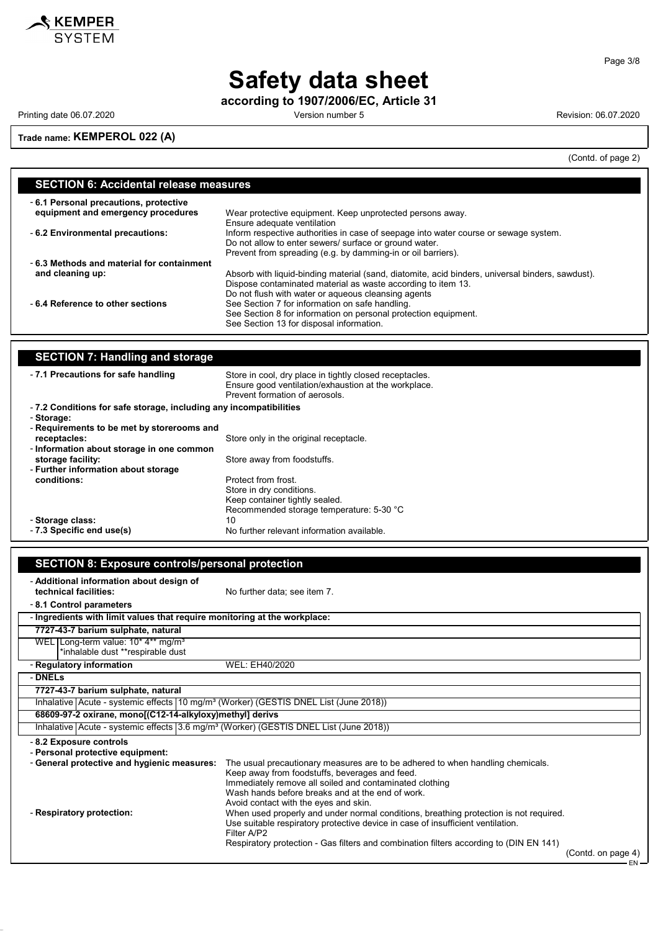

**according to 1907/2006/EC, Article 31**

Printing date 06.07.2020 **Printing date 06.07.2020** Version number 5 Revision: 06.07.2020

 $\overline{\phantom{a}}$ 

**Trade name: KEMPEROL 022 (A)**

(Contd. of page 2)

| <b>SECTION 6: Accidental release measures</b>                               |                                                                                                                                                                                                                         |  |
|-----------------------------------------------------------------------------|-------------------------------------------------------------------------------------------------------------------------------------------------------------------------------------------------------------------------|--|
| -6.1 Personal precautions, protective<br>equipment and emergency procedures | Wear protective equipment. Keep unprotected persons away.<br>Ensure adequate ventilation                                                                                                                                |  |
| - 6.2 Environmental precautions:                                            | Inform respective authorities in case of seepage into water course or sewage system.<br>Do not allow to enter sewers/ surface or ground water.<br>Prevent from spreading (e.g. by damming-in or oil barriers).          |  |
| -6.3 Methods and material for containment                                   |                                                                                                                                                                                                                         |  |
| and cleaning up:                                                            | Absorb with liquid-binding material (sand, diatomite, acid binders, universal binders, sawdust).<br>Dispose contaminated material as waste according to item 13.<br>Do not flush with water or aqueous cleansing agents |  |
| -6.4 Reference to other sections                                            | See Section 7 for information on safe handling.<br>See Section 8 for information on personal protection equipment.<br>See Section 13 for disposal information.                                                          |  |

| <b>SECTION 7: Handling and storage</b>                            |                                                                                                                                                   |
|-------------------------------------------------------------------|---------------------------------------------------------------------------------------------------------------------------------------------------|
| -7.1 Precautions for safe handling                                | Store in cool, dry place in tightly closed receptacles.<br>Ensure good ventilation/exhaustion at the workplace.<br>Prevent formation of aerosols. |
| -7.2 Conditions for safe storage, including any incompatibilities |                                                                                                                                                   |
| - Storage:                                                        |                                                                                                                                                   |
| - Requirements to be met by storerooms and                        |                                                                                                                                                   |
| receptacles:                                                      | Store only in the original receptacle.                                                                                                            |
| - Information about storage in one common                         |                                                                                                                                                   |
| storage facility:                                                 | Store away from foodstuffs.                                                                                                                       |
| - Further information about storage                               |                                                                                                                                                   |
| conditions:                                                       | Protect from frost                                                                                                                                |
|                                                                   | Store in dry conditions.                                                                                                                          |
|                                                                   | Keep container tightly sealed.                                                                                                                    |
|                                                                   | Recommended storage temperature: 5-30 °C                                                                                                          |
| - Storage class:                                                  | 10                                                                                                                                                |
| - 7.3 Specific end use(s)                                         | No further relevant information available.                                                                                                        |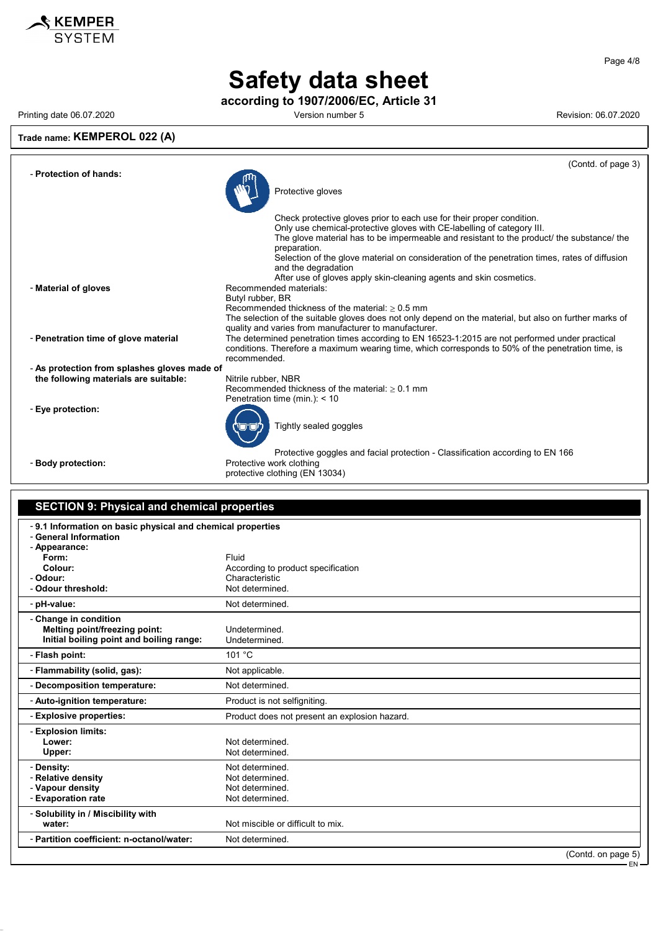

**according to 1907/2006/EC, Article 31**

Printing date 06.07.2020 **Printing date 06.07.2020** Version number 5 Revision: 06.07.2020

### **Trade name: KEMPEROL 022 (A)**

|                                                                                       | (Contd. of page 3)                                                                                                                                                                                                                                                                                                                                                                   |
|---------------------------------------------------------------------------------------|--------------------------------------------------------------------------------------------------------------------------------------------------------------------------------------------------------------------------------------------------------------------------------------------------------------------------------------------------------------------------------------|
| - Protection of hands:                                                                | Protective gloves                                                                                                                                                                                                                                                                                                                                                                    |
|                                                                                       | Check protective gloves prior to each use for their proper condition.<br>Only use chemical-protective gloves with CE-labelling of category III.<br>The glove material has to be impermeable and resistant to the product/ the substance/ the<br>preparation.<br>Selection of the glove material on consideration of the penetration times, rates of diffusion<br>and the degradation |
| - Material of gloves                                                                  | After use of gloves apply skin-cleaning agents and skin cosmetics.<br>Recommended materials:<br>Butyl rubber, BR<br>Recommended thickness of the material: $> 0.5$ mm                                                                                                                                                                                                                |
| - Penetration time of glove material                                                  | The selection of the suitable gloves does not only depend on the material, but also on further marks of<br>quality and varies from manufacturer to manufacturer.<br>The determined penetration times according to EN 16523-1:2015 are not performed under practical<br>conditions. Therefore a maximum wearing time, which corresponds to 50% of the penetration time, is            |
| - As protection from splashes gloves made of<br>the following materials are suitable: | recommended.<br>Nitrile rubber, NBR                                                                                                                                                                                                                                                                                                                                                  |
|                                                                                       | Recommended thickness of the material: $> 0.1$ mm<br>Penetration time (min.): $<$ 10                                                                                                                                                                                                                                                                                                 |
| - Eye protection:                                                                     | Tightly sealed goggles                                                                                                                                                                                                                                                                                                                                                               |
| - Body protection:                                                                    | Protective goggles and facial protection - Classification according to EN 166<br>Protective work clothing<br>protective clothing (EN 13034)                                                                                                                                                                                                                                          |

### **SECTION 9: Physical and chemical properties**

| -9.1 Information on basic physical and chemical properties<br>- General Information<br>- Appearance: |                                                      |
|------------------------------------------------------------------------------------------------------|------------------------------------------------------|
| Form:                                                                                                | Fluid                                                |
| Colour:                                                                                              |                                                      |
|                                                                                                      | According to product specification<br>Characteristic |
| - Odour:                                                                                             |                                                      |
| - Odour threshold:                                                                                   | Not determined.                                      |
| - pH-value:                                                                                          | Not determined.                                      |
| - Change in condition                                                                                |                                                      |
| Melting point/freezing point:                                                                        | Undetermined                                         |
| Initial boiling point and boiling range:                                                             | Undetermined.                                        |
| - Flash point:                                                                                       | 101 °C                                               |
| - Flammability (solid, gas):                                                                         | Not applicable.                                      |
| - Decomposition temperature:                                                                         | Not determined.                                      |
| - Auto-ignition temperature:                                                                         | Product is not selfigniting.                         |
| - Explosive properties:                                                                              | Product does not present an explosion hazard.        |
| - Explosion limits:                                                                                  |                                                      |
| Lower:                                                                                               | Not determined.                                      |
| Upper:                                                                                               | Not determined.                                      |
|                                                                                                      | Not determined.                                      |
| - Density:                                                                                           |                                                      |
| - Relative density                                                                                   | Not determined.                                      |
| - Vapour density                                                                                     | Not determined.                                      |
| - Evaporation rate                                                                                   | Not determined.                                      |
| - Solubility in / Miscibility with                                                                   |                                                      |
| water:                                                                                               | Not miscible or difficult to mix.                    |
| - Partition coefficient: n-octanol/water:                                                            | Not determined.                                      |
|                                                                                                      | (Contd. on page 5)                                   |

Page 4/8

EN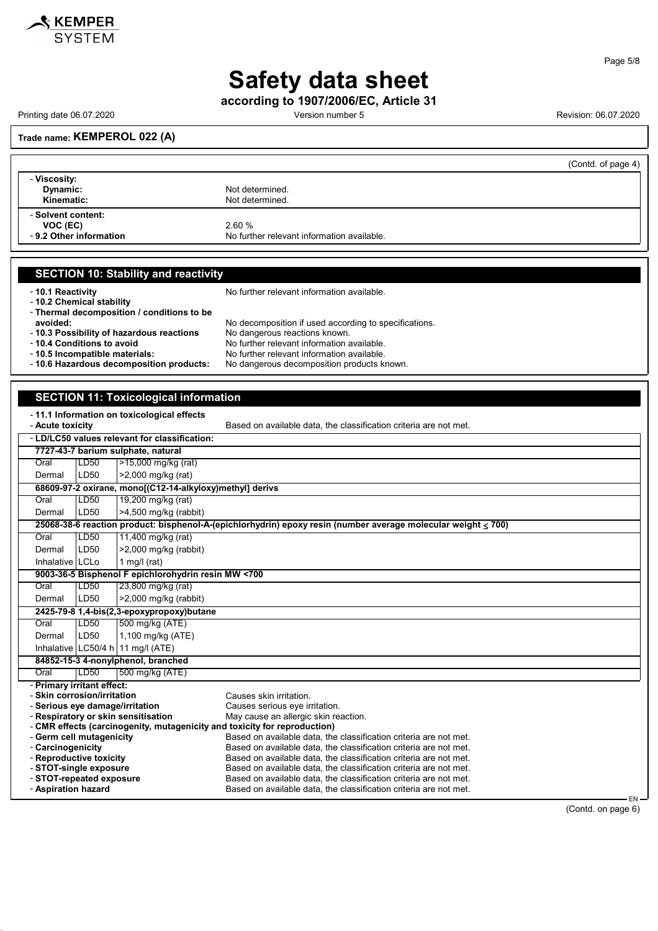

**according to 1907/2006/EC, Article 31**

Printing date 06.07.2020 **Version number 5** Version number 5 Revision: 06.07.2020

#### **Trade name: KEMPEROL 022 (A)**

|                                                          | (Contd. of page 4)                                  |
|----------------------------------------------------------|-----------------------------------------------------|
| - Viscosity:<br>Dynamic:<br>Kinematic:                   | Not determined.<br>Not determined.                  |
| - Solvent content:<br>VOC (EC)<br>-9.2 Other information | 2.60%<br>No further relevant information available. |

#### **SECTION 10: Stability and reactivity**

- **10.2 Chemical stability**

- **10.1 Reactivity 10.1 Reactivity 10.1 Reactivity 10.1 Reactivity 10.1 Reactivity** 

- **Thermal decomposition / conditions to be** No decomposition if used according to specifications.<br>No dangerous reactions known. - **10.3 Possibility of hazardous reactions**<br>- 10.4 Conditions to avoid - **10.4 Conditions to avoid**<br> **10.5 Incompatible materials:** No further relevant information available.<br>
No further relevant information available. No further relevant information available.<br>No dangerous decomposition products known.

- 10.6 Hazardous decomposition products:

#### **SECTION 11: Toxicological information**

- **11.1 Information on toxicological effects**

| - 11.1 milomation on toxicological enects<br>- Acute toxicity             |      |                                                          | Based on available data, the classification criteria are not met.                                                                      |
|---------------------------------------------------------------------------|------|----------------------------------------------------------|----------------------------------------------------------------------------------------------------------------------------------------|
| - LD/LC50 values relevant for classification:                             |      |                                                          |                                                                                                                                        |
|                                                                           |      | 7727-43-7 barium sulphate, natural                       |                                                                                                                                        |
| Oral                                                                      | LD50 | >15,000 mg/kg (rat)                                      |                                                                                                                                        |
| Dermal                                                                    | LD50 | >2,000 mg/kg (rat)                                       |                                                                                                                                        |
|                                                                           |      | 68609-97-2 oxirane, mono[(C12-14-alkyloxy)methyl] derivs |                                                                                                                                        |
| Oral                                                                      | LD50 | 19,200 mg/kg (rat)                                       |                                                                                                                                        |
| Dermal                                                                    | LD50 | $>4,500$ mg/kg (rabbit)                                  |                                                                                                                                        |
|                                                                           |      |                                                          | 25068-38-6 reaction product: bisphenol-A-(epichlorhydrin) epoxy resin (number average molecular weight $\leq 700$ )                    |
| Oral                                                                      | LD50 | 11,400 mg/kg (rat)                                       |                                                                                                                                        |
| Dermal                                                                    | LD50 | $>2,000$ mg/kg (rabbit)                                  |                                                                                                                                        |
| Inhalative LCLo                                                           |      | 1 mg/l $(rat)$                                           |                                                                                                                                        |
|                                                                           |      | 9003-36-5 Bisphenol F epichlorohydrin resin MW <700      |                                                                                                                                        |
| Oral                                                                      | LD50 | 23,800 mg/kg (rat)                                       |                                                                                                                                        |
| Dermal                                                                    | LD50 | $>2,000$ mg/kg (rabbit)                                  |                                                                                                                                        |
|                                                                           |      | 2425-79-8 1,4-bis(2,3-epoxypropoxy)butane                |                                                                                                                                        |
| Oral                                                                      | LD50 | 500 mg/kg (ATE)                                          |                                                                                                                                        |
| Dermal                                                                    | LD50 | 1,100 mg/kg (ATE)                                        |                                                                                                                                        |
|                                                                           |      | Inhalative $LC50/4$ h 11 mg/l (ATE)                      |                                                                                                                                        |
|                                                                           |      | 84852-15-3 4-nonylphenol, branched                       |                                                                                                                                        |
| Oral                                                                      | LD50 | 500 mg/kg (ATE)                                          |                                                                                                                                        |
| - Primary irritant effect:                                                |      |                                                          |                                                                                                                                        |
| - Skin corrosion/irritation                                               |      |                                                          | Causes skin irritation.                                                                                                                |
| - Serious eye damage/irritation<br>- Respiratory or skin sensitisation    |      |                                                          | Causes serious eye irritation.<br>May cause an allergic skin reaction.                                                                 |
| - CMR effects (carcinogenity, mutagenicity and toxicity for reproduction) |      |                                                          |                                                                                                                                        |
| - Germ cell mutagenicity                                                  |      |                                                          | Based on available data, the classification criteria are not met.                                                                      |
| - Carcinogenicity                                                         |      |                                                          | Based on available data, the classification criteria are not met.                                                                      |
| - Reproductive toxicity                                                   |      |                                                          | Based on available data, the classification criteria are not met.                                                                      |
| - STOT-single exposure                                                    |      |                                                          | Based on available data, the classification criteria are not met.<br>Based on available data, the classification criteria are not met. |
| - STOT-repeated exposure<br>- Aspiration hazard                           |      |                                                          | Based on available data, the classification criteria are not met.                                                                      |
|                                                                           |      |                                                          |                                                                                                                                        |

EN (Contd. on page 6)

Page 5/8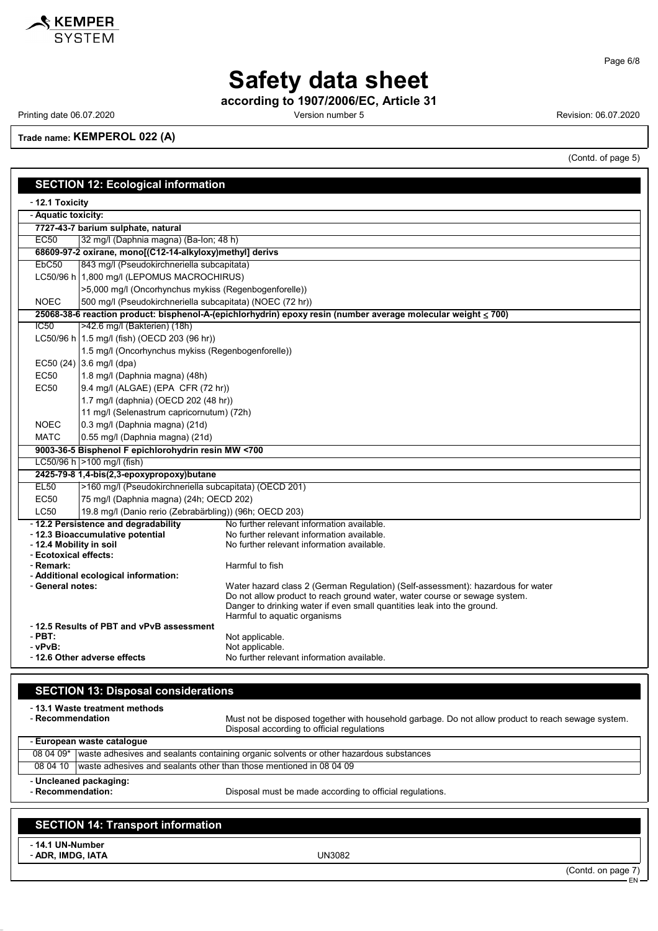

Page 6/8

## **Safety data sheet**

**according to 1907/2006/EC, Article 31**

Printing date 06.07.2020 **Version number 5** Version number 5 Revision: 06.07.2020

**Trade name: KEMPEROL 022 (A)**

(Contd. of page 5)

| <b>SECTION 12: Ecological information</b> |                                                                 |                                                                                                                                                       |  |
|-------------------------------------------|-----------------------------------------------------------------|-------------------------------------------------------------------------------------------------------------------------------------------------------|--|
|                                           | - 12.1 Toxicity                                                 |                                                                                                                                                       |  |
| - Aquatic toxicity:                       |                                                                 |                                                                                                                                                       |  |
|                                           | 7727-43-7 barium sulphate, natural                              |                                                                                                                                                       |  |
| <b>EC50</b>                               | 32 mg/l (Daphnia magna) (Ba-lon; 48 h)                          |                                                                                                                                                       |  |
|                                           | 68609-97-2 oxirane, mono[(C12-14-alkyloxy)methyl] derivs        |                                                                                                                                                       |  |
| EbC50                                     | 843 mg/l (Pseudokirchneriella subcapitata)                      |                                                                                                                                                       |  |
|                                           | LC50/96 h 1,800 mg/l (LEPOMUS MACROCHIRUS)                      |                                                                                                                                                       |  |
|                                           | >5,000 mg/l (Oncorhynchus mykiss (Regenbogenforelle))           |                                                                                                                                                       |  |
| <b>NOEC</b>                               | 500 mg/l (Pseudokirchneriella subcapitata) (NOEC (72 hr))       |                                                                                                                                                       |  |
|                                           |                                                                 | 25068-38-6 reaction product: bisphenol-A-(epichlorhydrin) epoxy resin (number average molecular weight ≤ 700)                                         |  |
| $\overline{IC50}$                         | >42.6 mg/l (Bakterien) (18h)                                    |                                                                                                                                                       |  |
|                                           | LC50/96 h 1.5 mg/l (fish) (OECD 203 (96 hr))                    |                                                                                                                                                       |  |
|                                           | 1.5 mg/l (Oncorhynchus mykiss (Regenbogenforelle))              |                                                                                                                                                       |  |
|                                           | EC50 (24) 3.6 mg/l (dpa)                                        |                                                                                                                                                       |  |
| <b>EC50</b>                               | 1.8 mg/l (Daphnia magna) (48h)                                  |                                                                                                                                                       |  |
| <b>EC50</b>                               | 9.4 mg/l (ALGAE) (EPA CFR (72 hr))                              |                                                                                                                                                       |  |
|                                           | 1.7 mg/l (daphnia) (OECD 202 (48 hr))                           |                                                                                                                                                       |  |
|                                           | 11 mg/l (Selenastrum capricornutum) (72h)                       |                                                                                                                                                       |  |
| <b>NOEC</b>                               | 0.3 mg/l (Daphnia magna) (21d)                                  |                                                                                                                                                       |  |
| <b>MATC</b>                               | 0.55 mg/l (Daphnia magna) (21d)                                 |                                                                                                                                                       |  |
|                                           | 9003-36-5 Bisphenol F epichlorohydrin resin MW <700             |                                                                                                                                                       |  |
|                                           | LC50/96 h >100 mg/l (fish)                                      |                                                                                                                                                       |  |
|                                           | 2425-79-8 1,4-bis(2,3-epoxypropoxy)butane                       |                                                                                                                                                       |  |
| EL50                                      | >160 mg/l (Pseudokirchneriella subcapitata) (OECD 201)          |                                                                                                                                                       |  |
| <b>EC50</b>                               | 75 mg/l (Daphnia magna) (24h; OECD 202)                         |                                                                                                                                                       |  |
|                                           | LC50<br>19.8 mg/l (Danio rerio (Zebrabärbling)) (96h; OECD 203) |                                                                                                                                                       |  |
|                                           | - 12.2 Persistence and degradability                            | No further relevant information available.                                                                                                            |  |
| - 12.4 Mobility in soil                   | - 12.3 Bioaccumulative potential                                | No further relevant information available.<br>No further relevant information available.                                                              |  |
| - Ecotoxical effects:                     |                                                                 |                                                                                                                                                       |  |
| - Remark:                                 |                                                                 | Harmful to fish                                                                                                                                       |  |
|                                           | - Additional ecological information:                            |                                                                                                                                                       |  |
| - General notes:                          |                                                                 | Water hazard class 2 (German Regulation) (Self-assessment): hazardous for water                                                                       |  |
|                                           |                                                                 | Do not allow product to reach ground water, water course or sewage system.<br>Danger to drinking water if even small quantities leak into the ground. |  |
|                                           |                                                                 | Harmful to aquatic organisms                                                                                                                          |  |
| - 12.5 Results of PBT and vPvB assessment |                                                                 |                                                                                                                                                       |  |
| $-$ PBT:                                  |                                                                 | Not applicable.                                                                                                                                       |  |
| - vPvB:                                   |                                                                 | Not applicable.                                                                                                                                       |  |
|                                           | -12.6 Other adverse effects                                     | No further relevant information available.                                                                                                            |  |

### **SECTION 13: Disposal considerations** - **13.1 Waste treatment methods** Must not be disposed together with household garbage. Do not allow product to reach sewage system. Disposal according to official regulations - **European waste catalogue** 08 04 09\* waste adhesives and sealants containing organic solvents or other hazardous substances 08 04 10 waste adhesives and sealants other than those mentioned in 08 04 09 - **Uncleaned packaging:**

Disposal must be made according to official regulations.

### **SECTION 14: Transport information**

- **14.1 UN-Number**

- **ADR, IMDG, IATA** UN3082

(Contd. on page 7)

EN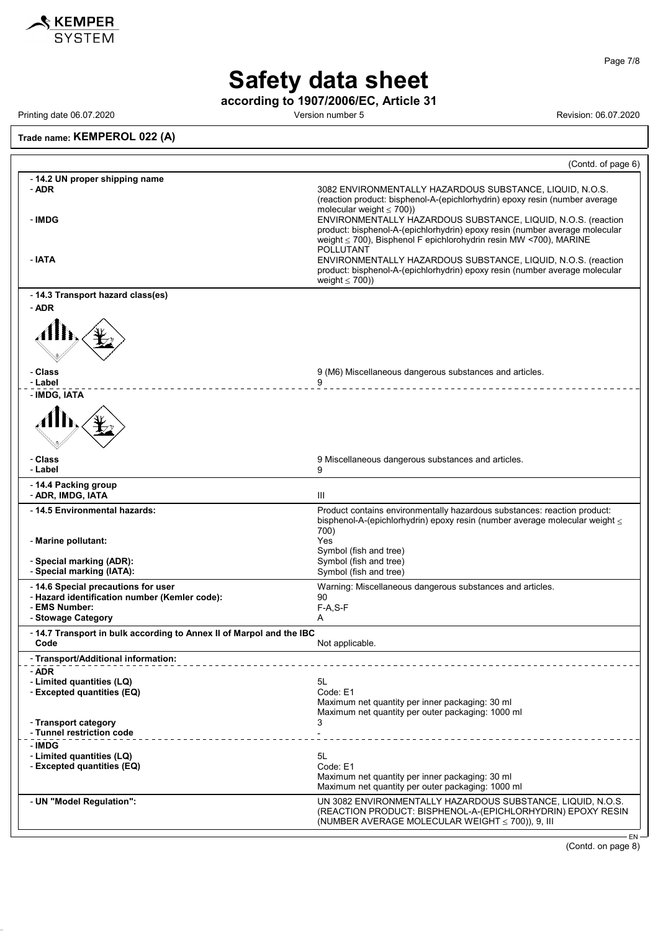

Page 7/8

# **Safety data sheet**

**according to 1907/2006/EC, Article 31**

Printing date 06.07.2020 **Printing date 06.07.2020** Version number 5 Revision: 06.07.2020

### **Trade name: KEMPEROL 022 (A)**

|                                                                             | (Contd. of page 6)                                                                                                                                                                                                                                                                                                                                                                                 |
|-----------------------------------------------------------------------------|----------------------------------------------------------------------------------------------------------------------------------------------------------------------------------------------------------------------------------------------------------------------------------------------------------------------------------------------------------------------------------------------------|
| - 14.2 UN proper shipping name<br>- ADR<br>- IMDG                           | 3082 ENVIRONMENTALLY HAZARDOUS SUBSTANCE, LIQUID, N.O.S.<br>(reaction product: bisphenol-A-(epichlorhydrin) epoxy resin (number average<br>molecular weight $\leq 700$ )<br>ENVIRONMENTALLY HAZARDOUS SUBSTANCE, LIQUID, N.O.S. (reaction<br>product: bisphenol-A-(epichlorhydrin) epoxy resin (number average molecular<br>weight $\leq$ 700), Bisphenol F epichlorohydrin resin MW <700), MARINE |
| - IATA                                                                      | POLLUTANT<br>ENVIRONMENTALLY HAZARDOUS SUBSTANCE, LIQUID, N.O.S. (reaction<br>product: bisphenol-A-(epichlorhydrin) epoxy resin (number average molecular<br>weight $\leq 700$ )                                                                                                                                                                                                                   |
| - 14.3 Transport hazard class(es)                                           |                                                                                                                                                                                                                                                                                                                                                                                                    |
| - ADR                                                                       |                                                                                                                                                                                                                                                                                                                                                                                                    |
| - Class<br>- Label                                                          | 9 (M6) Miscellaneous dangerous substances and articles.<br>9                                                                                                                                                                                                                                                                                                                                       |
| - IMDG, IATA                                                                |                                                                                                                                                                                                                                                                                                                                                                                                    |
| - Class<br>- Label                                                          | 9 Miscellaneous dangerous substances and articles.<br>9                                                                                                                                                                                                                                                                                                                                            |
| - 14.4 Packing group<br>- ADR, IMDG, IATA                                   | Ш                                                                                                                                                                                                                                                                                                                                                                                                  |
| - 14.5 Environmental hazards:                                               | Product contains environmentally hazardous substances: reaction product:<br>bisphenol-A-(epichlorhydrin) epoxy resin (number average molecular weight $\leq$                                                                                                                                                                                                                                       |
| - Marine pollutant:                                                         | 700)<br>Yes<br>Symbol (fish and tree)                                                                                                                                                                                                                                                                                                                                                              |
| - Special marking (ADR):<br>- Special marking (IATA):                       | Symbol (fish and tree)<br>Symbol (fish and tree)                                                                                                                                                                                                                                                                                                                                                   |
| - 14.6 Special precautions for user                                         | Warning: Miscellaneous dangerous substances and articles.                                                                                                                                                                                                                                                                                                                                          |
| - Hazard identification number (Kemler code):<br>- EMS Number:              | 90<br>$F-A, S-F$                                                                                                                                                                                                                                                                                                                                                                                   |
| - Stowage Category                                                          | A                                                                                                                                                                                                                                                                                                                                                                                                  |
| -14.7 Transport in bulk according to Annex II of Marpol and the IBC<br>Code | Not applicable.                                                                                                                                                                                                                                                                                                                                                                                    |
| - Transport/Additional information:                                         |                                                                                                                                                                                                                                                                                                                                                                                                    |
| - ADR<br>- Limited quantities (LQ)                                          | 5L                                                                                                                                                                                                                                                                                                                                                                                                 |
| - Excepted quantities (EQ)                                                  | Code: E1                                                                                                                                                                                                                                                                                                                                                                                           |
|                                                                             | Maximum net quantity per inner packaging: 30 ml<br>Maximum net quantity per outer packaging: 1000 ml                                                                                                                                                                                                                                                                                               |
| - Transport category                                                        | 3                                                                                                                                                                                                                                                                                                                                                                                                  |
| - Tunnel restriction code                                                   |                                                                                                                                                                                                                                                                                                                                                                                                    |
| - IMDG<br>- Limited quantities (LQ)                                         | 5L                                                                                                                                                                                                                                                                                                                                                                                                 |
| - Excepted quantities (EQ)                                                  | Code: E1                                                                                                                                                                                                                                                                                                                                                                                           |
|                                                                             | Maximum net quantity per inner packaging: 30 ml<br>Maximum net quantity per outer packaging: 1000 ml                                                                                                                                                                                                                                                                                               |
| - UN "Model Regulation":                                                    | UN 3082 ENVIRONMENTALLY HAZARDOUS SUBSTANCE, LIQUID, N.O.S.<br>(REACTION PRODUCT: BISPHENOL-A-(EPICHLORHYDRIN) EPOXY RESIN<br>(NUMBER AVERAGE MOLECULAR WEIGHT ≤ 700)), 9, III                                                                                                                                                                                                                     |
|                                                                             | EN-                                                                                                                                                                                                                                                                                                                                                                                                |

(Contd. on page 8)